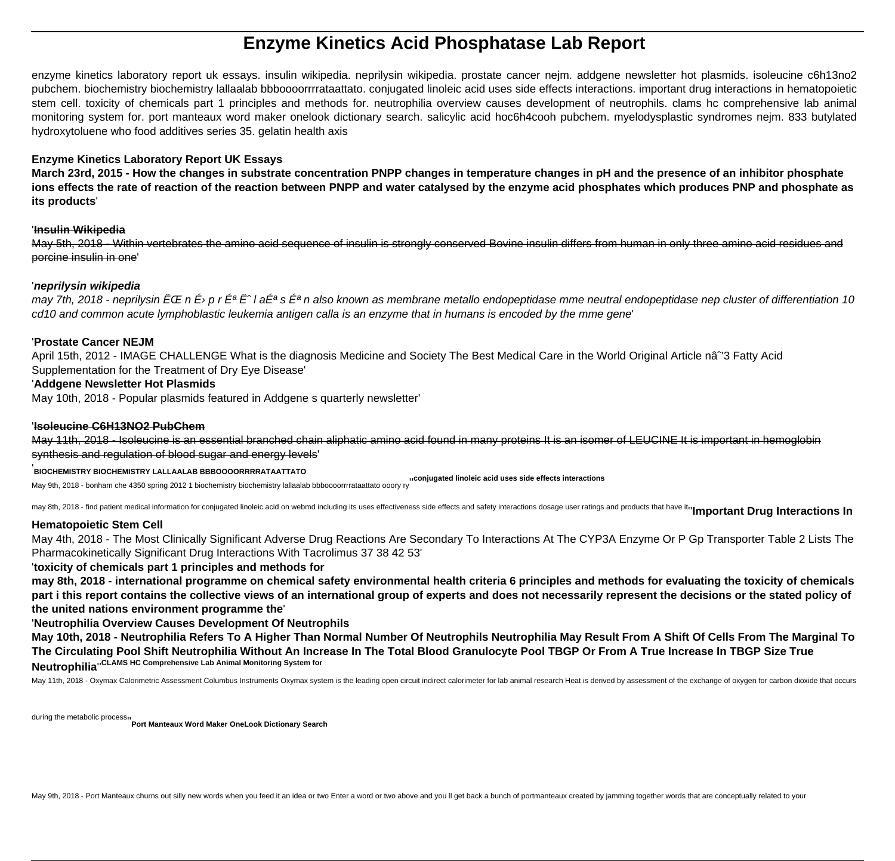# **Enzyme Kinetics Acid Phosphatase Lab Report**

enzyme kinetics laboratory report uk essays. insulin wikipedia. neprilysin wikipedia. prostate cancer nejm. addgene newsletter hot plasmids. isoleucine c6h13no2 pubchem. biochemistry biochemistry lallaalab bbboooorrrrataattato. conjugated linoleic acid uses side effects interactions. important drug interactions in hematopoietic stem cell. toxicity of chemicals part 1 principles and methods for. neutrophilia overview causes development of neutrophils. clams hc comprehensive lab animal monitoring system for. port manteaux word maker onelook dictionary search. salicylic acid hoc6h4cooh pubchem. myelodysplastic syndromes nejm. 833 butylated hydroxytoluene who food additives series 35. gelatin health axis

## **Enzyme Kinetics Laboratory Report UK Essays**

**March 23rd, 2015 - How the changes in substrate concentration PNPP changes in temperature changes in pH and the presence of an inhibitor phosphate ions effects the rate of reaction of the reaction between PNPP and water catalysed by the enzyme acid phosphates which produces PNP and phosphate as its products**'

#### '**Insulin Wikipedia**

May 5th, 2018 - Within vertebrates the amino acid sequence of insulin is strongly conserved Bovine insulin differs from human in only three amino acid residues and porcine insulin in one'

## '**neprilysin wikipedia**

may 7th, 2018 - neprilysin  $\bar{E}$ CE n  $\bar{E}$ <sup>,</sup> p r  $\bar{E}^a$  E<sup>a</sup> l a $\bar{E}^a$  is  $\bar{E}^a$  n also known as membrane metallo endopeptidase mme neutral endopeptidase nep cluster of differentiation 10 cd10 and common acute lymphoblastic leukemia antigen calla is an enzyme that in humans is encoded by the mme gene'

## '**Prostate Cancer NEJM**

April 15th, 2012 - IMAGE CHALLENGE What is the diagnosis Medicine and Society The Best Medical Care in the World Original Article nâ<sup>o</sup> 3 Fatty Acid Supplementation for the Treatment of Dry Eye Disease'

## '**Addgene Newsletter Hot Plasmids**

May 10th, 2018 - Popular plasmids featured in Addgene s quarterly newsletter'

### '**Isoleucine C6H13NO2 PubChem**

May 11th, 2018 - Isoleucine is an essential branched chain aliphatic amino acid found in many proteins It is an isomer of LEUCINE It is important in hemoglobin synthesis and regulation of blood sugar and energy levels'

#### '**BIOCHEMISTRY BIOCHEMISTRY LALLAALAB BBBOOOORRRRATAATTATO**

May 9th, 2018 - bonham che 4350 spring 2012 1 biochemistry biochemistry lallaalab bbboooorrrrataattato ooory ry''**conjugated linoleic acid uses side effects interactions**

may 8th, 2018 - find patient medical information for conjugated linoleic acid on webmd including its uses effectiveness side effects and safety interactions dosage user ratings and products that have itru**mportant Drug Int** 

#### **Hematopoietic Stem Cell**

May 4th, 2018 - The Most Clinically Significant Adverse Drug Reactions Are Secondary To Interactions At The CYP3A Enzyme Or P Gp Transporter Table 2 Lists The Pharmacokinetically Significant Drug Interactions With Tacrolimus 37 38 42 53'

#### '**toxicity of chemicals part 1 principles and methods for**

**may 8th, 2018 - international programme on chemical safety environmental health criteria 6 principles and methods for evaluating the toxicity of chemicals part i this report contains the collective views of an international group of experts and does not necessarily represent the decisions or the stated policy of the united nations environment programme the**'

#### '**Neutrophilia Overview Causes Development Of Neutrophils**

**May 10th, 2018 - Neutrophilia Refers To A Higher Than Normal Number Of Neutrophils Neutrophilia May Result From A Shift Of Cells From The Marginal To The Circulating Pool Shift Neutrophilia Without An Increase In The Total Blood Granulocyte Pool TBGP Or From A True Increase In TBGP Size True Neutrophilia**''**CLAMS HC Comprehensive Lab Animal Monitoring System for**

May 11th, 2018 - Oxymax Calorimetric Assessment Columbus Instruments Oxymax system is the leading open circuit indirect calorimeter for lab animal research Heat is derived by assessment of the exchange of oxygen for carbon

during the metabolic process''**Port Manteaux Word Maker OneLook Dictionary Search**